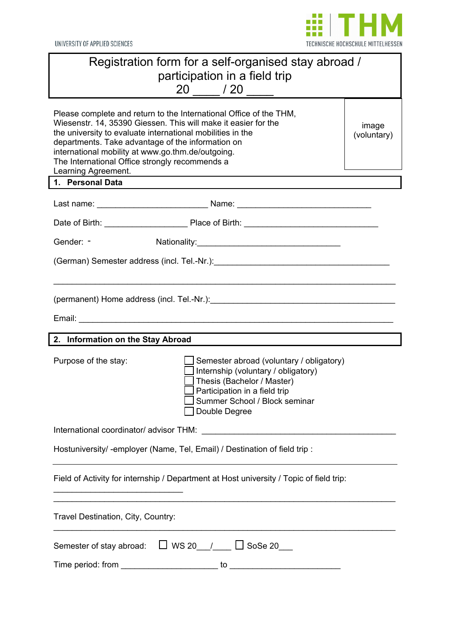

UNIVERSITY OF APPLIED SCIENCES

| Registration form for a self-organised stay abroad /<br>participation in a field trip<br>20 / 20                                                                                                                                                                                                                                                                                                              |  |  |  |
|---------------------------------------------------------------------------------------------------------------------------------------------------------------------------------------------------------------------------------------------------------------------------------------------------------------------------------------------------------------------------------------------------------------|--|--|--|
| Please complete and return to the International Office of the THM,<br>Wiesenstr. 14, 35390 Giessen. This will make it easier for the<br>image<br>the university to evaluate international mobilities in the<br>(voluntary)<br>departments. Take advantage of the information on<br>international mobility at www.go.thm.de/outgoing.<br>The International Office strongly recommends a<br>Learning Agreement. |  |  |  |
| 1. Personal Data                                                                                                                                                                                                                                                                                                                                                                                              |  |  |  |
|                                                                                                                                                                                                                                                                                                                                                                                                               |  |  |  |
|                                                                                                                                                                                                                                                                                                                                                                                                               |  |  |  |
| Gender: -                                                                                                                                                                                                                                                                                                                                                                                                     |  |  |  |
|                                                                                                                                                                                                                                                                                                                                                                                                               |  |  |  |
|                                                                                                                                                                                                                                                                                                                                                                                                               |  |  |  |
| (permanent) Home address (incl. Tel.-Nr.): www.assettermaneum.com/                                                                                                                                                                                                                                                                                                                                            |  |  |  |
|                                                                                                                                                                                                                                                                                                                                                                                                               |  |  |  |
| 2. Information on the Stay Abroad                                                                                                                                                                                                                                                                                                                                                                             |  |  |  |
| Purpose of the stay:<br>Semester abroad (voluntary / obligatory)<br>Internship (voluntary / obligatory)<br>Thesis (Bachelor / Master)<br>Participation in a field trip<br>Summer School / Block seminar<br>Double Degree                                                                                                                                                                                      |  |  |  |
| International coordinator/ advisor THM:<br><u> 1989 - Johann Barbara, martxa amerikan personal (h. 1989).</u>                                                                                                                                                                                                                                                                                                 |  |  |  |
| Hostuniversity/-employer (Name, Tel, Email) / Destination of field trip:                                                                                                                                                                                                                                                                                                                                      |  |  |  |
|                                                                                                                                                                                                                                                                                                                                                                                                               |  |  |  |
| Field of Activity for internship / Department at Host university / Topic of field trip:                                                                                                                                                                                                                                                                                                                       |  |  |  |
| Travel Destination, City, Country:                                                                                                                                                                                                                                                                                                                                                                            |  |  |  |
| Semester of stay abroad: $\Box$ WS 20 $\Box$ $\Box$ SoSe 20                                                                                                                                                                                                                                                                                                                                                   |  |  |  |